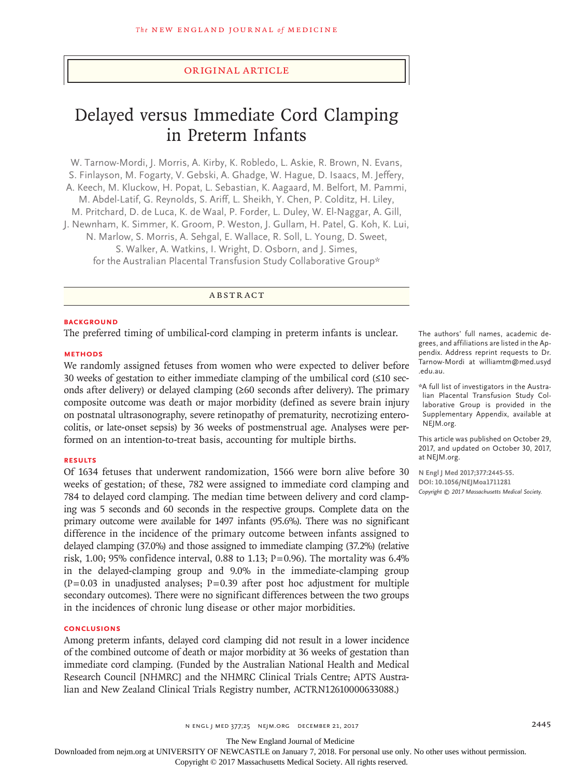## Original Article

# Delayed versus Immediate Cord Clamping in Preterm Infants

W. Tarnow-Mordi, J. Morris, A. Kirby, K. Robledo, L. Askie, R. Brown, N. Evans, S. Finlayson, M. Fogarty, V. Gebski, A. Ghadge, W. Hague, D. Isaacs, M. Jeffery, A. Keech, M. Kluckow, H. Popat, L. Sebastian, K. Aagaard, M. Belfort, M. Pammi, M. Abdel-Latif, G. Reynolds, S. Ariff, L. Sheikh, Y. Chen, P. Colditz, H. Liley, M. Pritchard, D. de Luca, K. de Waal, P. Forder, L. Duley, W. El-Naggar, A. Gill, J. Newnham, K. Simmer, K. Groom, P. Weston, J. Gullam, H. Patel, G. Koh, K. Lui, N. Marlow, S. Morris, A. Sehgal, E. Wallace, R. Soll, L. Young, D. Sweet, S. Walker, A. Watkins, I. Wright, D. Osborn, and J. Simes, for the Australian Placental Transfusion Study Collaborative Group\*

# ABSTRACT

## **BACKGROUND**

The preferred timing of umbilical-cord clamping in preterm infants is unclear.

## **METHODS**

We randomly assigned fetuses from women who were expected to deliver before 30 weeks of gestation to either immediate clamping of the umbilical cord (≤10 seconds after delivery) or delayed clamping  $(\geq 60$  seconds after delivery). The primary composite outcome was death or major morbidity (defined as severe brain injury on postnatal ultrasonography, severe retinopathy of prematurity, necrotizing enterocolitis, or late-onset sepsis) by 36 weeks of postmenstrual age. Analyses were performed on an intention-to-treat basis, accounting for multiple births.

#### **RESULTS**

Of 1634 fetuses that underwent randomization, 1566 were born alive before 30 weeks of gestation; of these, 782 were assigned to immediate cord clamping and 784 to delayed cord clamping. The median time between delivery and cord clamping was 5 seconds and 60 seconds in the respective groups. Complete data on the primary outcome were available for 1497 infants (95.6%). There was no significant difference in the incidence of the primary outcome between infants assigned to delayed clamping (37.0%) and those assigned to immediate clamping (37.2%) (relative risk, 1.00; 95% confidence interval, 0.88 to 1.13;  $P=0.96$ ). The mortality was 6.4% in the delayed-clamping group and 9.0% in the immediate-clamping group  $(P=0.03$  in unadjusted analyses; P=0.39 after post hoc adjustment for multiple secondary outcomes). There were no significant differences between the two groups in the incidences of chronic lung disease or other major morbidities.

#### **CONCLUSIONS**

Among preterm infants, delayed cord clamping did not result in a lower incidence of the combined outcome of death or major morbidity at 36 weeks of gestation than immediate cord clamping. (Funded by the Australian National Health and Medical Research Council [NHMRC] and the NHMRC Clinical Trials Centre; APTS Australian and New Zealand Clinical Trials Registry number, ACTRN12610000633088.)

The authors' full names, academic degrees, and affiliations are listed in the Appendix. Address reprint requests to Dr. Tarnow-Mordi at williamtm@med.usyd .edu.au.

\*A full list of investigators in the Australian Placental Transfusion Study Collaborative Group is provided in the Supplementary Appendix, available at NEJM.org.

This article was published on October 29, 2017, and updated on October 30, 2017, at NEJM.org.

**N Engl J Med 2017;377:2445-55. DOI: 10.1056/NEJMoa1711281** *Copyright © 2017 Massachusetts Medical Society.*

n engl j med 377;25 nejm.org December 21, 2017 2445

The New England Journal of Medicine

Downloaded from nejm.org at UNIVERSITY OF NEWCASTLE on January 7, 2018. For personal use only. No other uses without permission.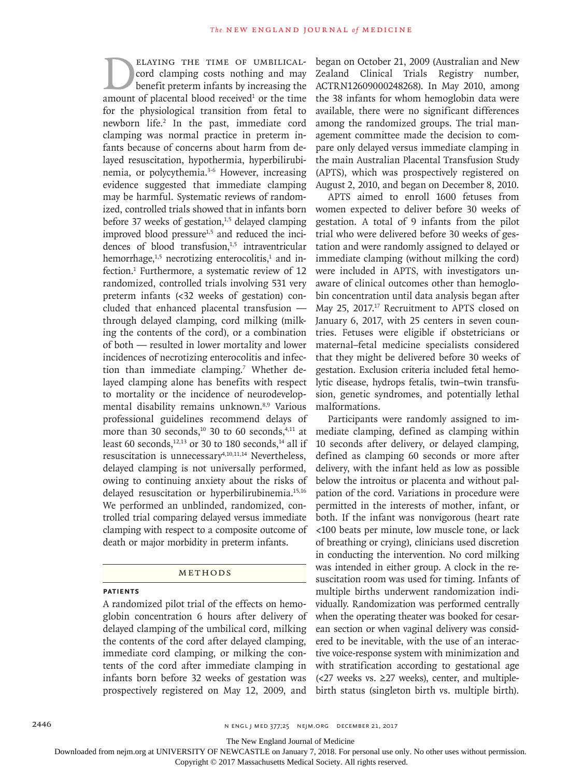ELAYING THE TIME OF UMBILICAL-<br>cord clamping costs nothing and may<br>benefit preterm infants by increasing the<br>amount of placental blood received<sup>1</sup> or the time cord clamping costs nothing and may benefit preterm infants by increasing the amount of placental blood received $1$  or the time for the physiological transition from fetal to newborn life.<sup>2</sup> In the past, immediate cord clamping was normal practice in preterm infants because of concerns about harm from delayed resuscitation, hypothermia, hyperbilirubinemia, or polycythemia.3-6 However, increasing evidence suggested that immediate clamping may be harmful. Systematic reviews of randomized, controlled trials showed that in infants born before 37 weeks of gestation,<sup>1,5</sup> delayed clamping improved blood pressure $1,5$  and reduced the incidences of blood transfusion,<sup>1,5</sup> intraventricular hemorrhage, $1,5$  necrotizing enterocolitis,<sup>1</sup> and infection.<sup>1</sup> Furthermore, a systematic review of 12 randomized, controlled trials involving 531 very preterm infants (<32 weeks of gestation) concluded that enhanced placental transfusion through delayed clamping, cord milking (milking the contents of the cord), or a combination of both — resulted in lower mortality and lower incidences of necrotizing enterocolitis and infection than immediate clamping.<sup>7</sup> Whether delayed clamping alone has benefits with respect to mortality or the incidence of neurodevelopmental disability remains unknown.8,9 Various professional guidelines recommend delays of more than 30 seconds, $10$  30 to 60 seconds, $4,11$  at least 60 seconds,<sup>12,13</sup> or 30 to 180 seconds,<sup>14</sup> all if resuscitation is unnecessary<sup>4,10,11,14</sup> Nevertheless, delayed clamping is not universally performed, owing to continuing anxiety about the risks of delayed resuscitation or hyperbilirubinemia.<sup>15,16</sup> We performed an unblinded, randomized, controlled trial comparing delayed versus immediate clamping with respect to a composite outcome of death or major morbidity in preterm infants.

## Methods

## **Patients**

A randomized pilot trial of the effects on hemoglobin concentration 6 hours after delivery of delayed clamping of the umbilical cord, milking the contents of the cord after delayed clamping, immediate cord clamping, or milking the contents of the cord after immediate clamping in infants born before 32 weeks of gestation was prospectively registered on May 12, 2009, and

began on October 21, 2009 (Australian and New Zealand Clinical Trials Registry number, ACTRN12609000248268). In May 2010, among the 38 infants for whom hemoglobin data were available, there were no significant differences among the randomized groups. The trial management committee made the decision to compare only delayed versus immediate clamping in the main Australian Placental Transfusion Study (APTS), which was prospectively registered on August 2, 2010, and began on December 8, 2010.

APTS aimed to enroll 1600 fetuses from women expected to deliver before 30 weeks of gestation. A total of 9 infants from the pilot trial who were delivered before 30 weeks of gestation and were randomly assigned to delayed or immediate clamping (without milking the cord) were included in APTS, with investigators unaware of clinical outcomes other than hemoglobin concentration until data analysis began after May 25, 2017.<sup>17</sup> Recruitment to APTS closed on January 6, 2017, with 25 centers in seven countries. Fetuses were eligible if obstetricians or maternal–fetal medicine specialists considered that they might be delivered before 30 weeks of gestation. Exclusion criteria included fetal hemolytic disease, hydrops fetalis, twin–twin transfusion, genetic syndromes, and potentially lethal malformations.

Participants were randomly assigned to immediate clamping, defined as clamping within 10 seconds after delivery, or delayed clamping, defined as clamping 60 seconds or more after delivery, with the infant held as low as possible below the introitus or placenta and without palpation of the cord. Variations in procedure were permitted in the interests of mother, infant, or both. If the infant was nonvigorous (heart rate <100 beats per minute, low muscle tone, or lack of breathing or crying), clinicians used discretion in conducting the intervention. No cord milking was intended in either group. A clock in the resuscitation room was used for timing. Infants of multiple births underwent randomization individually. Randomization was performed centrally when the operating theater was booked for cesarean section or when vaginal delivery was considered to be inevitable, with the use of an interactive voice-response system with minimization and with stratification according to gestational age  $\left($  <27 weeks vs. ≥27 weeks), center, and multiplebirth status (singleton birth vs. multiple birth).

The New England Journal of Medicine

Downloaded from nejm.org at UNIVERSITY OF NEWCASTLE on January 7, 2018. For personal use only. No other uses without permission.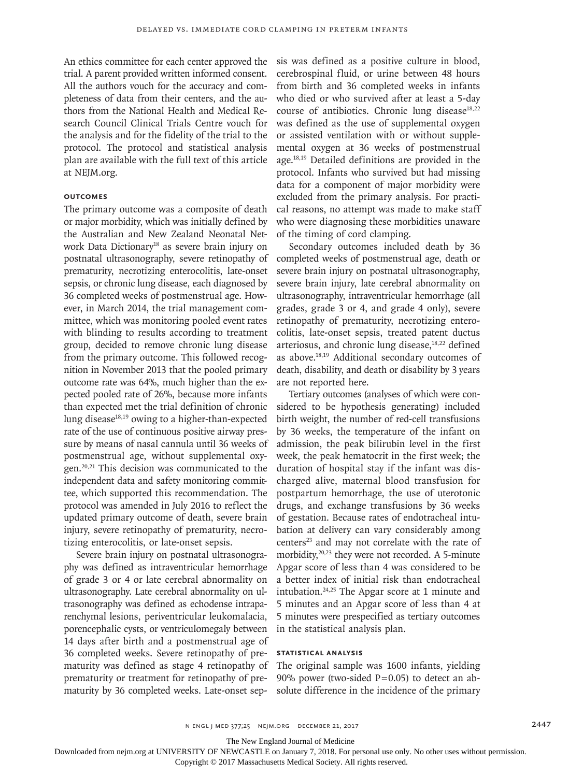An ethics committee for each center approved the trial. A parent provided written informed consent. All the authors vouch for the accuracy and completeness of data from their centers, and the authors from the National Health and Medical Research Council Clinical Trials Centre vouch for the analysis and for the fidelity of the trial to the protocol. The protocol and statistical analysis plan are available with the full text of this article at NEJM.org.

## **Outcomes**

The primary outcome was a composite of death or major morbidity, which was initially defined by the Australian and New Zealand Neonatal Network Data Dictionary<sup>18</sup> as severe brain injury on postnatal ultrasonography, severe retinopathy of prematurity, necrotizing enterocolitis, late-onset sepsis, or chronic lung disease, each diagnosed by 36 completed weeks of postmenstrual age. However, in March 2014, the trial management committee, which was monitoring pooled event rates with blinding to results according to treatment group, decided to remove chronic lung disease from the primary outcome. This followed recognition in November 2013 that the pooled primary outcome rate was 64%, much higher than the expected pooled rate of 26%, because more infants than expected met the trial definition of chronic lung disease $18,19$  owing to a higher-than-expected rate of the use of continuous positive airway pressure by means of nasal cannula until 36 weeks of postmenstrual age, without supplemental oxygen.20,21 This decision was communicated to the independent data and safety monitoring committee, which supported this recommendation. The protocol was amended in July 2016 to reflect the updated primary outcome of death, severe brain injury, severe retinopathy of prematurity, necrotizing enterocolitis, or late-onset sepsis.

Severe brain injury on postnatal ultrasonography was defined as intraventricular hemorrhage of grade 3 or 4 or late cerebral abnormality on ultrasonography. Late cerebral abnormality on ultrasonography was defined as echodense intraparenchymal lesions, periventricular leukomalacia, porencephalic cysts, or ventriculomegaly between 14 days after birth and a postmenstrual age of 36 completed weeks. Severe retinopathy of prematurity was defined as stage 4 retinopathy of prematurity or treatment for retinopathy of prematurity by 36 completed weeks. Late-onset sepsis was defined as a positive culture in blood, cerebrospinal fluid, or urine between 48 hours from birth and 36 completed weeks in infants who died or who survived after at least a 5-day course of antibiotics. Chronic lung disease $18,22$ was defined as the use of supplemental oxygen or assisted ventilation with or without supplemental oxygen at 36 weeks of postmenstrual age.18,19 Detailed definitions are provided in the protocol. Infants who survived but had missing data for a component of major morbidity were excluded from the primary analysis. For practical reasons, no attempt was made to make staff who were diagnosing these morbidities unaware of the timing of cord clamping.

Secondary outcomes included death by 36 completed weeks of postmenstrual age, death or severe brain injury on postnatal ultrasonography, severe brain injury, late cerebral abnormality on ultrasonography, intraventricular hemorrhage (all grades, grade 3 or 4, and grade 4 only), severe retinopathy of prematurity, necrotizing enterocolitis, late-onset sepsis, treated patent ductus arteriosus, and chronic lung disease,<sup>18,22</sup> defined as above.18,19 Additional secondary outcomes of death, disability, and death or disability by 3 years are not reported here.

Tertiary outcomes (analyses of which were considered to be hypothesis generating) included birth weight, the number of red-cell transfusions by 36 weeks, the temperature of the infant on admission, the peak bilirubin level in the first week, the peak hematocrit in the first week; the duration of hospital stay if the infant was discharged alive, maternal blood transfusion for postpartum hemorrhage, the use of uterotonic drugs, and exchange transfusions by 36 weeks of gestation. Because rates of endotracheal intubation at delivery can vary considerably among centers<sup>23</sup> and may not correlate with the rate of morbidity,<sup>20,23</sup> they were not recorded. A 5-minute Apgar score of less than 4 was considered to be a better index of initial risk than endotracheal intubation.24,25 The Apgar score at 1 minute and 5 minutes and an Apgar score of less than 4 at 5 minutes were prespecified as tertiary outcomes in the statistical analysis plan.

## **Statistical Analysis**

The original sample was 1600 infants, yielding 90% power (two-sided  $P=0.05$ ) to detect an absolute difference in the incidence of the primary

The New England Journal of Medicine

Downloaded from nejm.org at UNIVERSITY OF NEWCASTLE on January 7, 2018. For personal use only. No other uses without permission.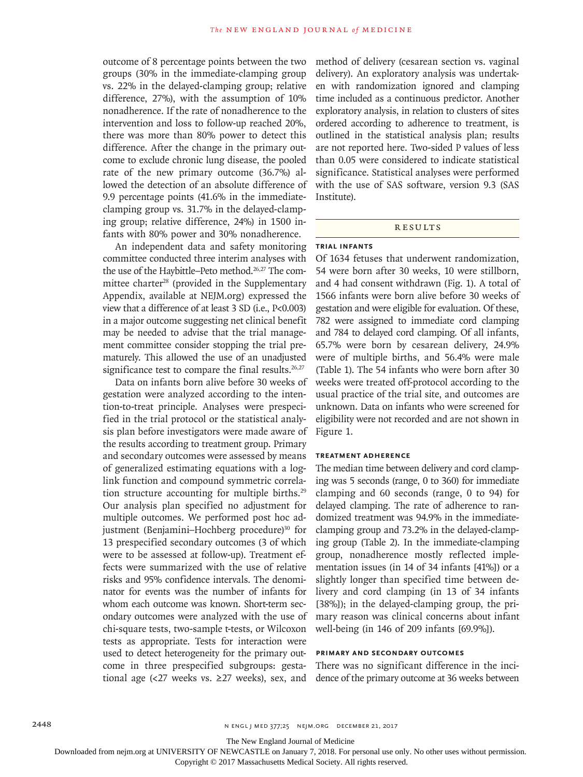outcome of 8 percentage points between the two groups (30% in the immediate-clamping group vs. 22% in the delayed-clamping group; relative difference, 27%), with the assumption of 10% nonadherence. If the rate of nonadherence to the intervention and loss to follow-up reached 20%, there was more than 80% power to detect this difference. After the change in the primary outcome to exclude chronic lung disease, the pooled rate of the new primary outcome (36.7%) allowed the detection of an absolute difference of 9.9 percentage points (41.6% in the immediateclamping group vs. 31.7% in the delayed-clamping group; relative difference, 24%) in 1500 infants with 80% power and 30% nonadherence.

An independent data and safety monitoring committee conducted three interim analyses with the use of the Haybittle–Peto method.<sup>26,27</sup> The committee charter<sup>28</sup> (provided in the Supplementary Appendix, available at NEJM.org) expressed the view that a difference of at least 3 SD (i.e., P<0.003) in a major outcome suggesting net clinical benefit may be needed to advise that the trial management committee consider stopping the trial prematurely. This allowed the use of an unadjusted significance test to compare the final results. $26,27$ 

Data on infants born alive before 30 weeks of gestation were analyzed according to the intention-to-treat principle. Analyses were prespecified in the trial protocol or the statistical analysis plan before investigators were made aware of the results according to treatment group. Primary and secondary outcomes were assessed by means of generalized estimating equations with a loglink function and compound symmetric correlation structure accounting for multiple births.<sup>29</sup> Our analysis plan specified no adjustment for multiple outcomes. We performed post hoc adjustment (Benjamini–Hochberg procedure)<sup>30</sup> for 13 prespecified secondary outcomes (3 of which were to be assessed at follow-up). Treatment effects were summarized with the use of relative risks and 95% confidence intervals. The denominator for events was the number of infants for whom each outcome was known. Short-term secondary outcomes were analyzed with the use of chi-square tests, two-sample t-tests, or Wilcoxon tests as appropriate. Tests for interaction were used to detect heterogeneity for the primary outcome in three prespecified subgroups: gestational age (<27 weeks vs.  $\geq$ 27 weeks), sex, and

method of delivery (cesarean section vs. vaginal delivery). An exploratory analysis was undertaken with randomization ignored and clamping time included as a continuous predictor. Another exploratory analysis, in relation to clusters of sites ordered according to adherence to treatment, is outlined in the statistical analysis plan; results are not reported here. Two-sided P values of less than 0.05 were considered to indicate statistical significance. Statistical analyses were performed with the use of SAS software, version 9.3 (SAS Institute).

# **RESULTS**

# **Trial Infants**

Of 1634 fetuses that underwent randomization, 54 were born after 30 weeks, 10 were stillborn, and 4 had consent withdrawn (Fig. 1). A total of 1566 infants were born alive before 30 weeks of gestation and were eligible for evaluation. Of these, 782 were assigned to immediate cord clamping and 784 to delayed cord clamping. Of all infants, 65.7% were born by cesarean delivery, 24.9% were of multiple births, and 56.4% were male (Table 1). The 54 infants who were born after 30 weeks were treated off-protocol according to the usual practice of the trial site, and outcomes are unknown. Data on infants who were screened for eligibility were not recorded and are not shown in Figure 1.

## **Treatment Adherence**

The median time between delivery and cord clamping was 5 seconds (range, 0 to 360) for immediate clamping and 60 seconds (range, 0 to 94) for delayed clamping. The rate of adherence to randomized treatment was 94.9% in the immediateclamping group and 73.2% in the delayed-clamping group (Table 2). In the immediate-clamping group, nonadherence mostly reflected implementation issues (in 14 of 34 infants [41%]) or a slightly longer than specified time between delivery and cord clamping (in 13 of 34 infants [38%]); in the delayed-clamping group, the primary reason was clinical concerns about infant well-being (in 146 of 209 infants [69.9%]).

# **Primary and Secondary Outcomes**

There was no significant difference in the incidence of the primary outcome at 36 weeks between

The New England Journal of Medicine

Downloaded from nejm.org at UNIVERSITY OF NEWCASTLE on January 7, 2018. For personal use only. No other uses without permission.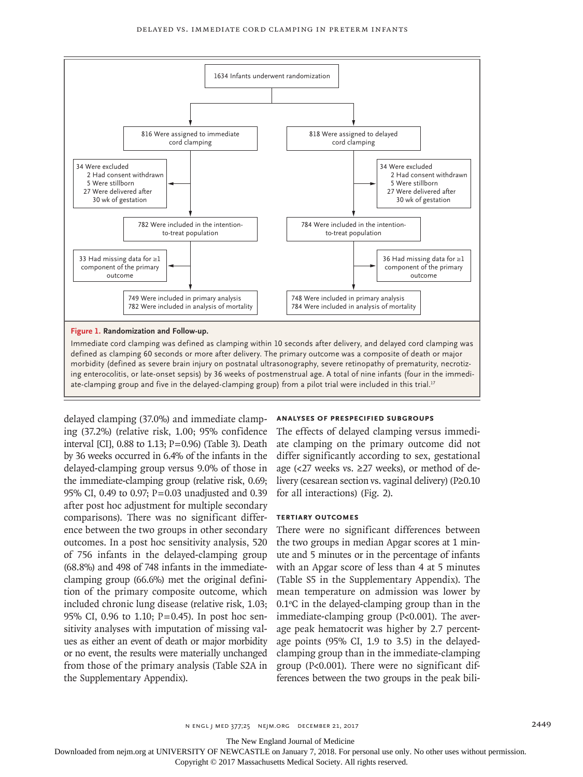

delayed clamping (37.0%) and immediate clamping (37.2%) (relative risk, 1.00; 95% confidence interval [CI], 0.88 to 1.13; P=0.96) (Table 3). Death by 36 weeks occurred in 6.4% of the infants in the delayed-clamping group versus 9.0% of those in the immediate-clamping group (relative risk, 0.69; 95% CI, 0.49 to 0.97; P=0.03 unadjusted and 0.39 after post hoc adjustment for multiple secondary comparisons). There was no significant difference between the two groups in other secondary outcomes. In a post hoc sensitivity analysis, 520 of 756 infants in the delayed-clamping group (68.8%) and 498 of 748 infants in the immediateclamping group (66.6%) met the original definition of the primary composite outcome, which included chronic lung disease (relative risk, 1.03; 95% CI, 0.96 to 1.10; P=0.45). In post hoc sensitivity analyses with imputation of missing values as either an event of death or major morbidity or no event, the results were materially unchanged from those of the primary analysis (Table S2A in the Supplementary Appendix).

## **Analyses of Prespecified Subgroups**

The effects of delayed clamping versus immediate clamping on the primary outcome did not differ significantly according to sex, gestational age (<27 weeks vs.  $\geq$ 27 weeks), or method of delivery (cesarean section vs. vaginal delivery) (P≥0.10 for all interactions) (Fig. 2).

#### **Tertiary Outcomes**

There were no significant differences between the two groups in median Apgar scores at 1 minute and 5 minutes or in the percentage of infants with an Apgar score of less than 4 at 5 minutes (Table S5 in the Supplementary Appendix). The mean temperature on admission was lower by  $0.1^{\circ}$ C in the delayed-clamping group than in the immediate-clamping group (P<0.001). The average peak hematocrit was higher by 2.7 percentage points (95% CI, 1.9 to 3.5) in the delayedclamping group than in the immediate-clamping group (P<0.001). There were no significant differences between the two groups in the peak bili-

n engl j med 377;25 nejm.org December 21, 2017 2449

The New England Journal of Medicine

Downloaded from nejm.org at UNIVERSITY OF NEWCASTLE on January 7, 2018. For personal use only. No other uses without permission.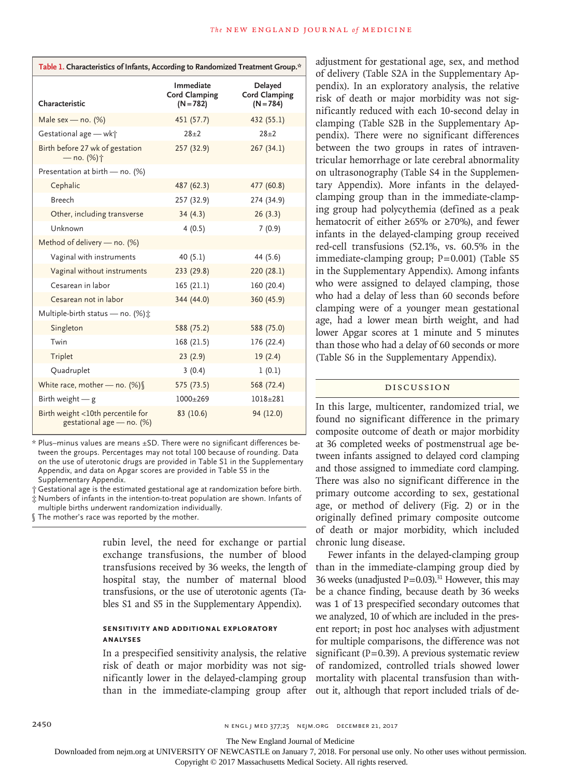| Table 1. Characteristics of Infants, According to Randomized Treatment Group.* |                                                  |                                                       |
|--------------------------------------------------------------------------------|--------------------------------------------------|-------------------------------------------------------|
| Characteristic                                                                 | Immediate<br><b>Cord Clamping</b><br>$(N = 782)$ | <b>Delayed</b><br><b>Cord Clamping</b><br>$(N = 784)$ |
| Male sex - no. $(%)$                                                           | 451 (57.7)                                       | 432 (55.1)                                            |
| Gestational age - wk+                                                          | $28+2$                                           | $28+2$                                                |
| Birth before 27 wk of gestation<br>— no. (%)†                                  | 257 (32.9)                                       | 267(34.1)                                             |
| Presentation at birth - no. (%)                                                |                                                  |                                                       |
| Cephalic                                                                       | 487 (62.3)                                       | 477 (60.8)                                            |
| <b>Breech</b>                                                                  | 257 (32.9)                                       | 274 (34.9)                                            |
| Other, including transverse                                                    | 34(4.3)                                          | 26(3.3)                                               |
| Unknown                                                                        | 4(0.5)                                           | 7(0.9)                                                |
| Method of delivery - no. (%)                                                   |                                                  |                                                       |
| Vaginal with instruments                                                       | 40(5.1)                                          | 44 (5.6)                                              |
| Vaginal without instruments                                                    | 233 (29.8)                                       | 220 (28.1)                                            |
| Cesarean in labor                                                              | 165(21.1)                                        | 160 (20.4)                                            |
| Cesarean not in labor                                                          | 344 (44.0)                                       | 360 (45.9)                                            |
| Multiple-birth status - no. (%) ±                                              |                                                  |                                                       |
| Singleton                                                                      | 588 (75.2)                                       | 588 (75.0)                                            |
| Twin                                                                           | 168 (21.5)                                       | 176 (22.4)                                            |
| Triplet                                                                        | 23(2.9)                                          | 19(2.4)                                               |
| Quadruplet                                                                     | 3(0.4)                                           | 1(0.1)                                                |
| White race, mother - no. $(\%)$                                                | 575 (73.5)                                       | 568 (72.4)                                            |
| Birth weight $-$ g                                                             | $1000+269$                                       | $1018 + 281$                                          |
| Birth weight <10th percentile for<br>gestational age - no. (%)                 | 83 (10.6)                                        | 94 (12.0)                                             |

\* Plus–minus values are means ±SD. There were no significant differences between the groups. Percentages may not total 100 because of rounding. Data on the use of uterotonic drugs are provided in Table S1 in the Supplementary Appendix, and data on Apgar scores are provided in Table S5 in the Supplementary Appendix.

† Gestational age is the estimated gestational age at randomization before birth.

‡ Numbers of infants in the intention-to-treat population are shown. Infants of

multiple births underwent randomization individually.

§ The mother's race was reported by the mother.

rubin level, the need for exchange or partial exchange transfusions, the number of blood transfusions received by 36 weeks, the length of hospital stay, the number of maternal blood transfusions, or the use of uterotonic agents (Tables S1 and S5 in the Supplementary Appendix).

## **Sensitivity and Additional Exploratory Analyses**

In a prespecified sensitivity analysis, the relative risk of death or major morbidity was not significantly lower in the delayed-clamping group than in the immediate-clamping group after adjustment for gestational age, sex, and method of delivery (Table S2A in the Supplementary Appendix). In an exploratory analysis, the relative risk of death or major morbidity was not significantly reduced with each 10-second delay in clamping (Table S2B in the Supplementary Appendix). There were no significant differences between the two groups in rates of intraventricular hemorrhage or late cerebral abnormality on ultrasonography (Table S4 in the Supplementary Appendix). More infants in the delayedclamping group than in the immediate-clamping group had polycythemia (defined as a peak hematocrit of either ≥65% or ≥70%), and fewer infants in the delayed-clamping group received red-cell transfusions (52.1%, vs. 60.5% in the immediate-clamping group; P=0.001) (Table S5 in the Supplementary Appendix). Among infants who were assigned to delayed clamping, those who had a delay of less than 60 seconds before clamping were of a younger mean gestational age, had a lower mean birth weight, and had lower Apgar scores at 1 minute and 5 minutes than those who had a delay of 60 seconds or more (Table S6 in the Supplementary Appendix).

## Discussion

In this large, multicenter, randomized trial, we found no significant difference in the primary composite outcome of death or major morbidity at 36 completed weeks of postmenstrual age between infants assigned to delayed cord clamping and those assigned to immediate cord clamping. There was also no significant difference in the primary outcome according to sex, gestational age, or method of delivery (Fig. 2) or in the originally defined primary composite outcome of death or major morbidity, which included chronic lung disease.

Fewer infants in the delayed-clamping group than in the immediate-clamping group died by 36 weeks (unadjusted  $P=0.03$ ).<sup>31</sup> However, this may be a chance finding, because death by 36 weeks was 1 of 13 prespecified secondary outcomes that we analyzed, 10 of which are included in the present report; in post hoc analyses with adjustment for multiple comparisons, the difference was not significant ( $P=0.39$ ). A previous systematic review of randomized, controlled trials showed lower mortality with placental transfusion than without it, although that report included trials of de-

The New England Journal of Medicine

Downloaded from nejm.org at UNIVERSITY OF NEWCASTLE on January 7, 2018. For personal use only. No other uses without permission.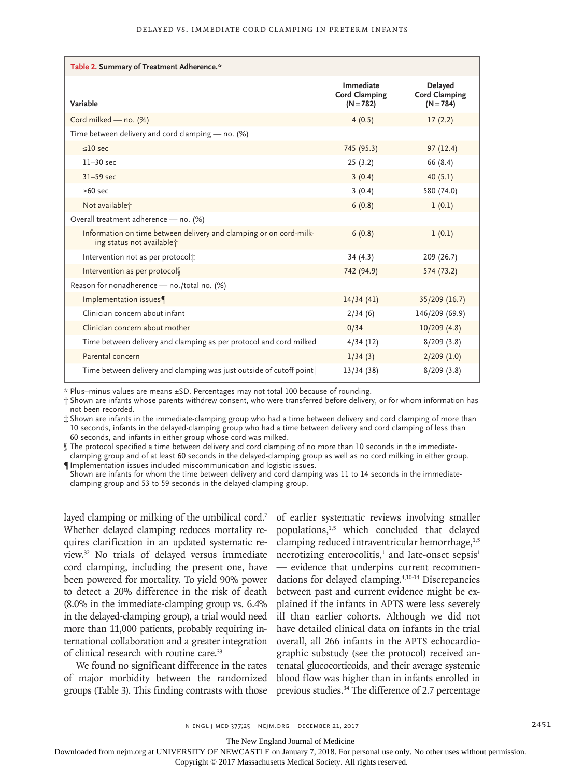| Table 2. Summary of Treatment Adherence.*                                                       |                                                  |                                                       |
|-------------------------------------------------------------------------------------------------|--------------------------------------------------|-------------------------------------------------------|
| Variable                                                                                        | Immediate<br><b>Cord Clamping</b><br>$(N = 782)$ | <b>Delayed</b><br><b>Cord Clamping</b><br>$(N = 784)$ |
| Cord milked - no. (%)                                                                           | 4(0.5)                                           | 17(2.2)                                               |
| Time between delivery and cord clamping - no. (%)                                               |                                                  |                                                       |
| $<$ 10 sec                                                                                      | 745 (95.3)                                       | 97(12.4)                                              |
| $11-30$ sec                                                                                     | 25(3.2)                                          | 66 (8.4)                                              |
| $31-59$ sec                                                                                     | 3(0.4)                                           | 40(5.1)                                               |
| $\geq 60$ sec                                                                                   | 3(0.4)                                           | 580 (74.0)                                            |
| Not available;                                                                                  | 6(0.8)                                           | 1(0.1)                                                |
| Overall treatment adherence - no. (%)                                                           |                                                  |                                                       |
| Information on time between delivery and clamping or on cord-milk-<br>ing status not available? | 6(0.8)                                           | 1(0.1)                                                |
| Intervention not as per protocol:                                                               | 34(4.3)                                          | 209 (26.7)                                            |
| Intervention as per protocol                                                                    | 742 (94.9)                                       | 574 (73.2)                                            |
| Reason for nonadherence - no./total no. (%)                                                     |                                                  |                                                       |
| Implementation issues¶                                                                          | 14/34(41)                                        | 35/209 (16.7)                                         |
| Clinician concern about infant                                                                  | 2/34(6)                                          | 146/209 (69.9)                                        |
| Clinician concern about mother                                                                  | 0/34                                             | 10/209(4.8)                                           |
| Time between delivery and clamping as per protocol and cord milked                              | 4/34(12)                                         | 8/209(3.8)                                            |
| Parental concern                                                                                | 1/34(3)                                          | $2/209$ (1.0)                                         |
| Time between delivery and clamping was just outside of cutoff point                             | 13/34(38)                                        | 8/209(3.8)                                            |

\* Plus–minus values are means ±SD. Percentages may not total 100 because of rounding.

† Shown are infants whose parents withdrew consent, who were transferred before delivery, or for whom information has not been recorded.

‡ Shown are infants in the immediate-clamping group who had a time between delivery and cord clamping of more than 10 seconds, infants in the delayed-clamping group who had a time between delivery and cord clamping of less than 60 seconds, and infants in either group whose cord was milked.

§ The protocol specified a time between delivery and cord clamping of no more than 10 seconds in the immediate-

clamping group and of at least 60 seconds in the delayed-clamping group as well as no cord milking in either group. ¶ Implementation issues included miscommunication and logistic issues.

‖ Shown are infants for whom the time between delivery and cord clamping was 11 to 14 seconds in the immediateclamping group and 53 to 59 seconds in the delayed-clamping group.

layed clamping or milking of the umbilical cord.<sup>7</sup> Whether delayed clamping reduces mortality requires clarification in an updated systematic review.32 No trials of delayed versus immediate cord clamping, including the present one, have been powered for mortality. To yield 90% power to detect a 20% difference in the risk of death (8.0% in the immediate-clamping group vs. 6.4% in the delayed-clamping group), a trial would need more than 11,000 patients, probably requiring international collaboration and a greater integration of clinical research with routine care.<sup>33</sup>

We found no significant difference in the rates of major morbidity between the randomized groups (Table 3). This finding contrasts with those of earlier systematic reviews involving smaller populations,<sup>1,5</sup> which concluded that delayed clamping reduced intraventricular hemorrhage, $1,5$ necrotizing enterocolitis, $1$  and late-onset sepsis $1$ — evidence that underpins current recommendations for delayed clamping.4,10-14 Discrepancies between past and current evidence might be explained if the infants in APTS were less severely ill than earlier cohorts. Although we did not have detailed clinical data on infants in the trial overall, all 266 infants in the APTS echocardiographic substudy (see the protocol) received antenatal glucocorticoids, and their average systemic blood flow was higher than in infants enrolled in previous studies.<sup>34</sup> The difference of 2.7 percentage

The New England Journal of Medicine

Downloaded from nejm.org at UNIVERSITY OF NEWCASTLE on January 7, 2018. For personal use only. No other uses without permission.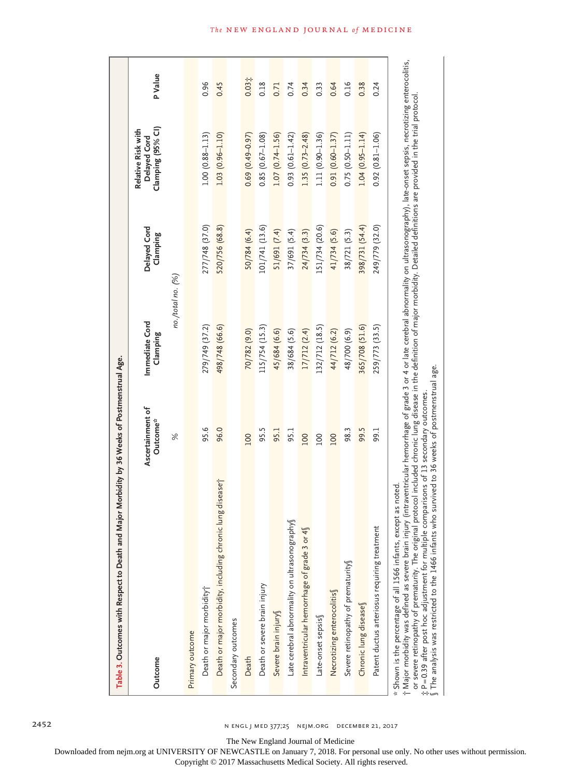| Table 3. Outcomes with Respect to Death and Major Morbidity by 36 Weeks of Postmenstrual Age.                                                                                                                                                                                                                                                                                                                                                                                                                                                                                                                                                                    |                                          |                            |                          |                                                         |         |
|------------------------------------------------------------------------------------------------------------------------------------------------------------------------------------------------------------------------------------------------------------------------------------------------------------------------------------------------------------------------------------------------------------------------------------------------------------------------------------------------------------------------------------------------------------------------------------------------------------------------------------------------------------------|------------------------------------------|----------------------------|--------------------------|---------------------------------------------------------|---------|
| Outcome                                                                                                                                                                                                                                                                                                                                                                                                                                                                                                                                                                                                                                                          | Ascertainment of<br>Outcome <sup>*</sup> | Immediate Cord<br>Clamping | Delayed Cord<br>Clamping | Clamping (95% CI)<br>Relative Risk with<br>Delayed Cord | P Value |
|                                                                                                                                                                                                                                                                                                                                                                                                                                                                                                                                                                                                                                                                  | $\%$                                     | no./total no. (%)          |                          |                                                         |         |
| Primary outcome                                                                                                                                                                                                                                                                                                                                                                                                                                                                                                                                                                                                                                                  |                                          |                            |                          |                                                         |         |
| Death or major morbidity†                                                                                                                                                                                                                                                                                                                                                                                                                                                                                                                                                                                                                                        | 95.6                                     | 279/749 (37.2)             | 277/748 (37.0)           | $1.00(0.88 - 1.13)$                                     | 0.96    |
| Death or major morbidity, including chronic lung diseasej                                                                                                                                                                                                                                                                                                                                                                                                                                                                                                                                                                                                        | 96.0                                     | 498/748 (66.6)             | 520/756 (68.8)           | $1.03(0.96 - 1.10)$                                     | 0.45    |
| Secondary outcomes                                                                                                                                                                                                                                                                                                                                                                                                                                                                                                                                                                                                                                               |                                          |                            |                          |                                                         |         |
| Death                                                                                                                                                                                                                                                                                                                                                                                                                                                                                                                                                                                                                                                            | 100                                      | 70/782 (9.0)               | 50/784 (6.4)             | $0.69(0.49 - 0.97)$                                     | 0.031   |
| Death or severe brain injury                                                                                                                                                                                                                                                                                                                                                                                                                                                                                                                                                                                                                                     | 95.5                                     | 115/754 (15.3)             | 101/741 (13.6)           | $0.85(0.67 - 1.08)$                                     | 0.18    |
| Severe brain injury                                                                                                                                                                                                                                                                                                                                                                                                                                                                                                                                                                                                                                              | 95.1                                     | 45/684 (6.6)               | 51/691 (7.4)             | $1.07(0.74 - 1.56)$                                     | 0.71    |
| Late cerebral abnormality on ultrasonography                                                                                                                                                                                                                                                                                                                                                                                                                                                                                                                                                                                                                     | 95.1                                     | 38/684 (5.6)               | 37/691 (5.4)             | $0.93(0.61 - 1.42)$                                     | 0.74    |
| Intraventricular hemorrhage of grade 3 or 4§                                                                                                                                                                                                                                                                                                                                                                                                                                                                                                                                                                                                                     | 100                                      | 17/712(2.4)                | 24/734 (3.3)             | $1.35(0.73 - 2.48)$                                     | 0.34    |
| Late-onset sepsis                                                                                                                                                                                                                                                                                                                                                                                                                                                                                                                                                                                                                                                | 100                                      | 132/712 (18.5)             | 151/734 (20.6)           | 1.11 (0.90-1.36)                                        | 0.33    |
| Necrotizing enterocolitis                                                                                                                                                                                                                                                                                                                                                                                                                                                                                                                                                                                                                                        | 100                                      | 44/712 (6.2)               | 41/734 (5.6)             | $0.91(0.60 - 1.37)$                                     | 0.64    |
| Severe retinopathy of prematurity                                                                                                                                                                                                                                                                                                                                                                                                                                                                                                                                                                                                                                | 98.3                                     | 48/700 (6.9)               | 38/721 (5.3)             | $0.75(0.50 - 1.11)$                                     | 0.16    |
| Chronic lung diseases                                                                                                                                                                                                                                                                                                                                                                                                                                                                                                                                                                                                                                            | 99.5                                     | 365/708 (51.6)             | 398/731 (54.4)           | $1.04(0.95 - 1.14)$                                     | 0.38    |
| Patent ductus arteriosus requiring treatment                                                                                                                                                                                                                                                                                                                                                                                                                                                                                                                                                                                                                     | 99.1                                     | 259/773 (33.5)             | 249/779 (32.0)           | $0.92(0.81 - 1.06)$                                     | 0.24    |
| † Major morbidity was defined as severe brain injury (intraventricular hemorrhage of grade 3 or 4 or late cerebral abnormality on ultrasonography), late onset sepsis, necrotizing enterocolitis,<br>or severe retinopathy of prematurity. The original protocol included chronic lung disease in the definition of major morbidity. Detailed definitions are provided in the trial protocol<br>$\int$ The analysis was restricted to the 1466 infants who survived to 36 weeks of postmenstrual age.<br># P=0.39 after post hoc adjustment for multiple comparisons of 13 secondary outcomes<br>* Shown is the percentage of all 1566 infants, except as noted. |                                          |                            |                          |                                                         |         |

**The NEW ENGLAND JOURNAL of MEDICINE** 

2452 n engl j med 377;25 nejm.org December 21, 2017

The New England Journal of Medicine

Downloaded from nejm.org at UNIVERSITY OF NEWCASTLE on January 7, 2018. For personal use only. No other uses without permission.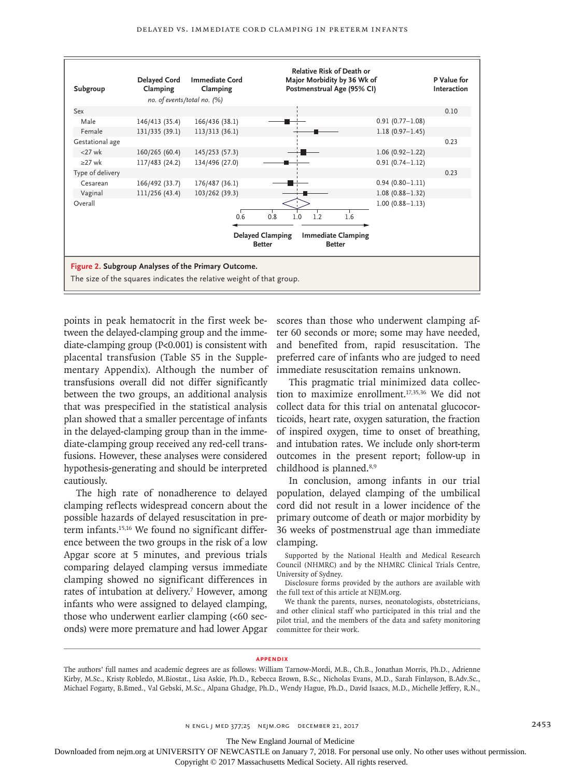

points in peak hematocrit in the first week between the delayed-clamping group and the immediate-clamping group (P<0.001) is consistent with placental transfusion (Table S5 in the Supplementary Appendix). Although the number of transfusions overall did not differ significantly between the two groups, an additional analysis that was prespecified in the statistical analysis plan showed that a smaller percentage of infants in the delayed-clamping group than in the immediate-clamping group received any red-cell transfusions. However, these analyses were considered hypothesis-generating and should be interpreted cautiously.

The high rate of nonadherence to delayed clamping reflects widespread concern about the possible hazards of delayed resuscitation in preterm infants.15,16 We found no significant difference between the two groups in the risk of a low Apgar score at 5 minutes, and previous trials comparing delayed clamping versus immediate clamping showed no significant differences in rates of intubation at delivery.<sup>7</sup> However, among infants who were assigned to delayed clamping, those who underwent earlier clamping (<60 seconds) were more premature and had lower Apgar

scores than those who underwent clamping after 60 seconds or more; some may have needed, and benefited from, rapid resuscitation. The preferred care of infants who are judged to need immediate resuscitation remains unknown.

This pragmatic trial minimized data collection to maximize enrollment.17,35,36 We did not collect data for this trial on antenatal glucocorticoids, heart rate, oxygen saturation, the fraction of inspired oxygen, time to onset of breathing, and intubation rates. We include only short-term outcomes in the present report; follow-up in childhood is planned.<sup>8,9</sup>

In conclusion, among infants in our trial population, delayed clamping of the umbilical cord did not result in a lower incidence of the primary outcome of death or major morbidity by 36 weeks of postmenstrual age than immediate clamping.

Supported by the National Health and Medical Research Council (NHMRC) and by the NHMRC Clinical Trials Centre, University of Sydney.

Disclosure forms provided by the authors are available with the full text of this article at NEJM.org.

We thank the parents, nurses, neonatologists, obstetricians, and other clinical staff who participated in this trial and the pilot trial, and the members of the data and safety monitoring committee for their work.

#### **Appendix**

The New England Journal of Medicine

Downloaded from nejm.org at UNIVERSITY OF NEWCASTLE on January 7, 2018. For personal use only. No other uses without permission.

The authors' full names and academic degrees are as follows: William Tarnow-Mordi, M.B., Ch.B., Jonathan Morris, Ph.D., Adrienne Kirby, M.Sc., Kristy Robledo, M.Biostat., Lisa Askie, Ph.D., Rebecca Brown, B.Sc., Nicholas Evans, M.D., Sarah Finlayson, B.Adv.Sc., Michael Fogarty, B.Bmed., Val Gebski, M.Sc., Alpana Ghadge, Ph.D., Wendy Hague, Ph.D., David Isaacs, M.D., Michelle Jeffery, R.N.,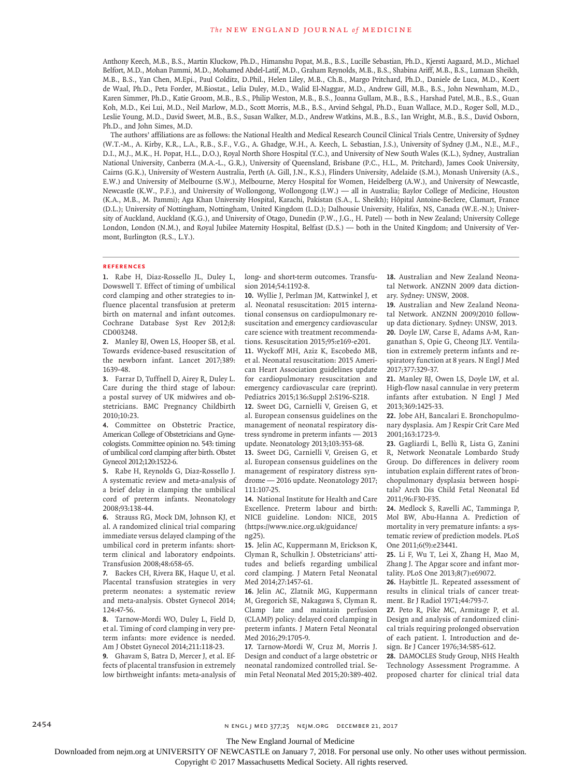Anthony Keech, M.B., B.S., Martin Kluckow, Ph.D., Himanshu Popat, M.B., B.S., Lucille Sebastian, Ph.D., Kjersti Aagaard, M.D., Michael Belfort, M.D., Mohan Pammi, M.D., Mohamed Abdel-Latif, M.D., Graham Reynolds, M.B., B.S., Shabina Ariff, M.B., B.S., Lumaan Sheikh, M.B., B.S., Yan Chen, M.Epi., Paul Colditz, D.Phil., Helen Liley, M.B., Ch.B., Margo Pritchard, Ph.D., Daniele de Luca, M.D., Koert de Waal, Ph.D., Peta Forder, M.Biostat., Lelia Duley, M.D., Walid El-Naggar, M.D., Andrew Gill, M.B., B.S., John Newnham, M.D., Karen Simmer, Ph.D., Katie Groom, M.B., B.S., Philip Weston, M.B., B.S., Joanna Gullam, M.B., B.S., Harshad Patel, M.B., B.S., Guan Koh, M.D., Kei Lui, M.D., Neil Marlow, M.D., Scott Morris, M.B., B.S., Arvind Sehgal, Ph.D., Euan Wallace, M.D., Roger Soll, M.D., Leslie Young, M.D., David Sweet, M.B., B.S., Susan Walker, M.D., Andrew Watkins, M.B., B.S., Ian Wright, M.B., B.S., David Osborn, Ph.D., and John Simes, M.D.

The authors' affiliations are as follows: the National Health and Medical Research Council Clinical Trials Centre, University of Sydney (W.T.-M., A. Kirby, K.R., L.A., R.B., S.F., V.G., A. Ghadge, W.H., A. Keech, L. Sebastian, J.S.), University of Sydney (J.M., N.E., M.F., D.I., M.J., M.K., H. Popat, H.L., D.O.), Royal North Shore Hospital (Y.C.), and University of New South Wales (K.L.), Sydney, Australian National University, Canberra (M.A.-L., G.R.), University of Queensland, Brisbane (P.C., H.L., M. Pritchard), James Cook University, Cairns (G.K.), University of Western Australia, Perth (A. Gill, J.N., K.S.), Flinders University, Adelaide (S.M.), Monash University (A.S., E.W.) and University of Melbourne (S.W.), Melbourne, Mercy Hospital for Women, Heidelberg (A.W.), and University of Newcastle, Newcastle (K.W., P.F.), and University of Wollongong, Wollongong (I.W.) — all in Australia; Baylor College of Medicine, Houston (K.A., M.B., M. Pammi); Aga Khan University Hospital, Karachi, Pakistan (S.A., L. Sheikh); Hôpital Antoine-Beclere, Clamart, France (D.L.); University of Nottingham, Nottingham, United Kingdom (L.D.); Dalhousie University, Halifax, NS, Canada (W.E.-N.); University of Auckland, Auckland (K.G.), and University of Otago, Dunedin (P.W., J.G., H. Patel) — both in New Zealand; University College London, London (N.M.), and Royal Jubilee Maternity Hospital, Belfast (D.S.) — both in the United Kingdom; and University of Vermont, Burlington (R.S., L.Y.).

## **References**

**1.** Rabe H, Diaz-Rossello JL, Duley L, Dowswell T. Effect of timing of umbilical cord clamping and other strategies to influence placental transfusion at preterm birth on maternal and infant outcomes. Cochrane Database Syst Rev 2012;8: CD003248.

**2.** Manley BJ, Owen LS, Hooper SB, et al. Towards evidence-based resuscitation of the newborn infant. Lancet 2017;389: 1639-48.

**3.** Farrar D, Tuffnell D, Airey R, Duley L. Care during the third stage of labour: a postal survey of UK midwives and obstetricians. BMC Pregnancy Childbirth 2010;10:23.

**4.** Committee on Obstetric Practice, American College of Obstetricians and Gynecologists. Committee opinion no. 543: timing of umbilical cord clamping after birth. Obstet Gynecol 2012;120:1522-6.

**5.** Rabe H, Reynolds G, Diaz-Rossello J. A systematic review and meta-analysis of a brief delay in clamping the umbilical cord of preterm infants. Neonatology 2008;93:138-44.

**6.** Strauss RG, Mock DM, Johnson KJ, et al. A randomized clinical trial comparing immediate versus delayed clamping of the umbilical cord in preterm infants: shortterm clinical and laboratory endpoints. Transfusion 2008;48:658-65.

**7.** Backes CH, Rivera BK, Haque U, et al. Placental transfusion strategies in very preterm neonates: a systematic review and meta-analysis. Obstet Gynecol 2014; 124:47-56.

**8.** Tarnow-Mordi WO, Duley L, Field D, et al. Timing of cord clamping in very preterm infants: more evidence is needed. Am J Obstet Gynecol 2014;211:118-23. **9.** Ghavam S, Batra D, Mercer J, et al. Effects of placental transfusion in extremely low birthweight infants: meta-analysis of long- and short-term outcomes. Transfusion 2014;54:1192-8.

**10.** Wyllie J, Perlman JM, Kattwinkel J, et al. Neonatal resuscitation: 2015 international consensus on cardiopulmonary resuscitation and emergency cardiovascular care science with treatment recommendations. Resuscitation 2015;95:e169-e201.

**11.** Wyckoff MH, Aziz K, Escobedo MB, et al. Neonatal resuscitation: 2015 American Heart Association guidelines update for cardiopulmonary resuscitation and emergency cardiovascular care (reprint). Pediatrics 2015;136:Suppl 2:S196-S218.

**12.** Sweet DG, Carnielli V, Greisen G, et al. European consensus guidelines on the management of neonatal respiratory distress syndrome in preterm infants — 2013 update. Neonatology 2013;103:353-68.

**13.** Sweet DG, Carnielli V, Greisen G, et al. European consensus guidelines on the management of respiratory distress syndrome — 2016 update. Neonatology 2017; 111:107-25.

**14.** National Institute for Health and Care Excellence. Preterm labour and birth: NICE guideline. London: NICE, 2015 (https://www.nice.org.uk/guidance/ ng25).

**15.** Jelin AC, Kuppermann M, Erickson K, Clyman R, Schulkin J. Obstetricians' attitudes and beliefs regarding umbilical cord clamping. J Matern Fetal Neonatal Med 2014;27:1457-61.

**16.** Jelin AC, Zlatnik MG, Kuppermann M, Gregorich SE, Nakagawa S, Clyman R. Clamp late and maintain perfusion (CLAMP) policy: delayed cord clamping in preterm infants. J Matern Fetal Neonatal Med 2016;29:1705-9.

**17.** Tarnow-Mordi W, Cruz M, Morris J. Design and conduct of a large obstetric or neonatal randomized controlled trial. Semin Fetal Neonatal Med 2015;20:389-402. **18.** Australian and New Zealand Neonatal Network. ANZNN 2009 data dictionary. Sydney: UNSW, 2008.

**19.** Australian and New Zealand Neonatal Network. ANZNN 2009/2010 followup data dictionary. Sydney: UNSW, 2013. **20.** Doyle LW, Carse E, Adams A-M, Ranganathan S, Opie G, Cheong JLY. Ventilation in extremely preterm infants and respiratory function at 8 years. N Engl J Med 2017;377:329-37.

**21.** Manley BJ, Owen LS, Doyle LW, et al. High-flow nasal cannulae in very preterm infants after extubation. N Engl J Med 2013;369:1425-33.

**22.** Jobe AH, Bancalari E. Bronchopulmonary dysplasia. Am J Respir Crit Care Med 2001;163:1723-9.

**23.** Gagliardi L, Bellù R, Lista G, Zanini R, Network Neonatale Lombardo Study Group. Do differences in delivery room intubation explain different rates of bronchopulmonary dysplasia between hospitals? Arch Dis Child Fetal Neonatal Ed 2011;96:F30-F35.

**24.** Medlock S, Ravelli AC, Tamminga P, Mol BW, Abu-Hanna A. Prediction of mortality in very premature infants: a systematic review of prediction models. PLoS One 2011;6(9):e23441.

**25.** Li F, Wu T, Lei X, Zhang H, Mao M, Zhang J. The Apgar score and infant mortality. PLoS One 2013;8(7):e69072.

**26.** Haybittle JL. Repeated assessment of results in clinical trials of cancer treatment. Br J Radiol 1971;44:793-7.

**27.** Peto R, Pike MC, Armitage P, et al. Design and analysis of randomized clinical trials requiring prolonged observation of each patient. I. Introduction and design. Br J Cancer 1976;34:585-612.

**28.** DAMOCLES Study Group, NHS Health Technology Assessment Programme. A proposed charter for clinical trial data

The New England Journal of Medicine

Downloaded from nejm.org at UNIVERSITY OF NEWCASTLE on January 7, 2018. For personal use only. No other uses without permission.